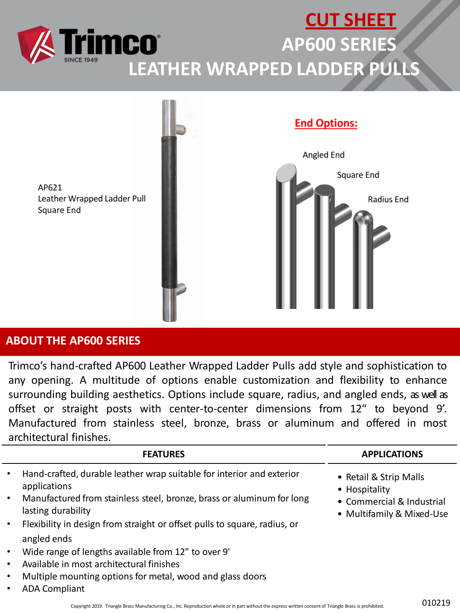



## **ABOUT THE AP600 SERIES**

Trimco's hand-crafted AP600 Leather Wrapped Ladder Pulls add style and sophistication to any opening. A multitude of options enable customization and flexibility to enhance surrounding building aesthetics. Options include square, radius, and angled ends, as well as offset or straight posts with center-to-center dimensions from 12" to beyond 9'. Manufactured from stainless steel, bronze, brass or aluminum and offered in most architectural finishes.

|           | <b>FEATURES</b>                                                                             | <b>APPLICATIONS</b>                                    |
|-----------|---------------------------------------------------------------------------------------------|--------------------------------------------------------|
|           | Hand-crafted, durable leather wrap suitable for interior and exterior<br>applications       | • Retail & Strip Malls<br>• Hospitality                |
| $\bullet$ | Manufactured from stainless steel, bronze, brass or aluminum for long<br>lasting durability | • Commercial & Industrial<br>• Multifamily & Mixed-Use |
|           | Flexibility in design from straight or offset pulls to square, radius, or                   |                                                        |
|           | angled ends                                                                                 |                                                        |
|           | Wide range of lengths available from 12" to over 9'                                         |                                                        |
|           | Available in most architectural finishes                                                    |                                                        |
|           | Multiple mounting options for metal, wood and glass doors                                   |                                                        |
|           | <b>ADA Compliant</b>                                                                        |                                                        |